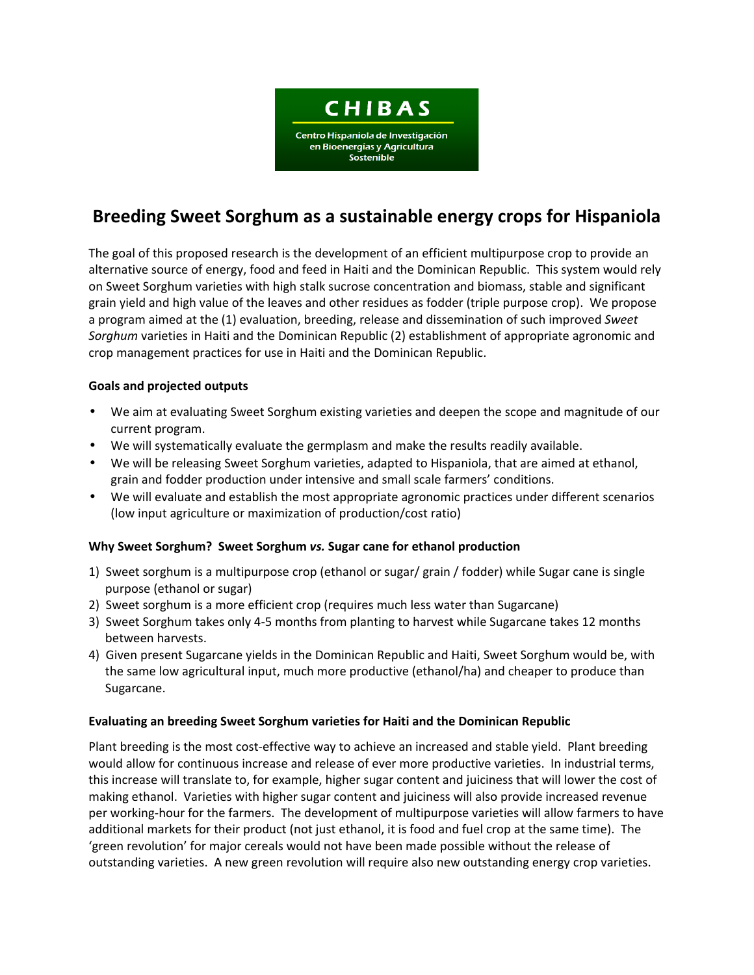

# **Breeding Sweet Sorghum as a sustainable energy crops for Hispaniola**

The goal of this proposed research is the development of an efficient multipurpose crop to provide an alternative source of energy, food and feed in Haiti and the Dominican Republic. This system would rely on Sweet Sorghum varieties with high stalk sucrose concentration and biomass, stable and significant grain yield and high value of the leaves and other residues as fodder (triple purpose crop). We propose a program aimed at the (1) evaluation, breeding, release and dissemination of such improved *Sweet Sorghum* varieties in Haiti and the Dominican Republic (2) establishment of appropriate agronomic and crop management practices for use in Haiti and the Dominican Republic.

# **Goals and projected outputs**

- We aim at evaluating Sweet Sorghum existing varieties and deepen the scope and magnitude of our current program.
- We will systematically evaluate the germplasm and make the results readily available.
- We will be releasing Sweet Sorghum varieties, adapted to Hispaniola, that are aimed at ethanol, grain and fodder production under intensive and small scale farmers' conditions.
- We will evaluate and establish the most appropriate agronomic practices under different scenarios (low input agriculture or maximization of production/cost ratio)

### **Why Sweet Sorghum? Sweet Sorghum** *vs.* **Sugar cane for ethanol production**

- 1) Sweet sorghum is a multipurpose crop (ethanol or sugar/ grain / fodder) while Sugar cane is single purpose (ethanol or sugar)
- 2) Sweet sorghum is a more efficient crop (requires much less water than Sugarcane)
- 3) Sweet Sorghum takes only 4-5 months from planting to harvest while Sugarcane takes 12 months between harvests.
- 4) Given present Sugarcane yields in the Dominican Republic and Haiti, Sweet Sorghum would be, with the same low agricultural input, much more productive (ethanol/ha) and cheaper to produce than Sugarcane.

### **Evaluating an breeding Sweet Sorghum varieties for Haiti and the Dominican Republic**

Plant breeding is the most cost-effective way to achieve an increased and stable yield. Plant breeding would allow for continuous increase and release of ever more productive varieties. In industrial terms, this increase will translate to, for example, higher sugar content and juiciness that will lower the cost of making ethanol. Varieties with higher sugar content and juiciness will also provide increased revenue per working-hour for the farmers. The development of multipurpose varieties will allow farmers to have additional markets for their product (not just ethanol, it is food and fuel crop at the same time). The 'green revolution' for major cereals would not have been made possible without the release of outstanding varieties. A new green revolution will require also new outstanding energy crop varieties.